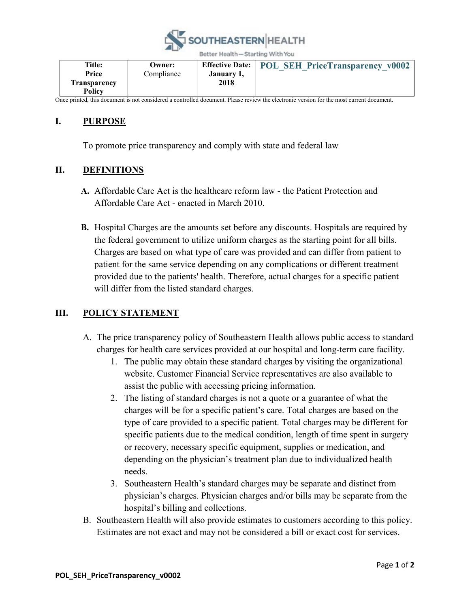

Better Health-Starting With You

| Title:              | Owner:     | <b>Effective Date:</b> | <b>POL SEH PriceTransparency v0002</b> |
|---------------------|------------|------------------------|----------------------------------------|
| Price               | Compliance | January 1,             |                                        |
| <b>Transparency</b> |            | 2018                   |                                        |
| Policy              |            |                        |                                        |

Once printed, this document is not considered a controlled document. Please review the electronic version for the most current document.

## **I. PURPOSE**

To promote price transparency and comply with state and federal law

## **II. DEFINITIONS**

- **A.** Affordable Care Act is the healthcare reform law the Patient Protection and Affordable Care Act - enacted in March 2010.
- **B.** Hospital Charges are the amounts set before any discounts. Hospitals are required by the federal government to utilize uniform charges as the starting point for all bills. Charges are based on what type of care was provided and can differ from patient to patient for the same service depending on any complications or different treatment provided due to the patients' health. Therefore, actual charges for a specific patient will differ from the listed standard charges.

## **III. POLICY STATEMENT**

- A. The price transparency policy of Southeastern Health allows public access to standard charges for health care services provided at our hospital and long-term care facility.
	- 1. The public may obtain these standard charges by visiting the organizational website. Customer Financial Service representatives are also available to assist the public with accessing pricing information.
	- 2. The listing of standard charges is not a quote or a guarantee of what the charges will be for a specific patient's care. Total charges are based on the type of care provided to a specific patient. Total charges may be different for specific patients due to the medical condition, length of time spent in surgery or recovery, necessary specific equipment, supplies or medication, and depending on the physician's treatment plan due to individualized health needs.
	- 3. Southeastern Health's standard charges may be separate and distinct from physician's charges. Physician charges and/or bills may be separate from the hospital's billing and collections.
- B. Southeastern Health will also provide estimates to customers according to this policy. Estimates are not exact and may not be considered a bill or exact cost for services.